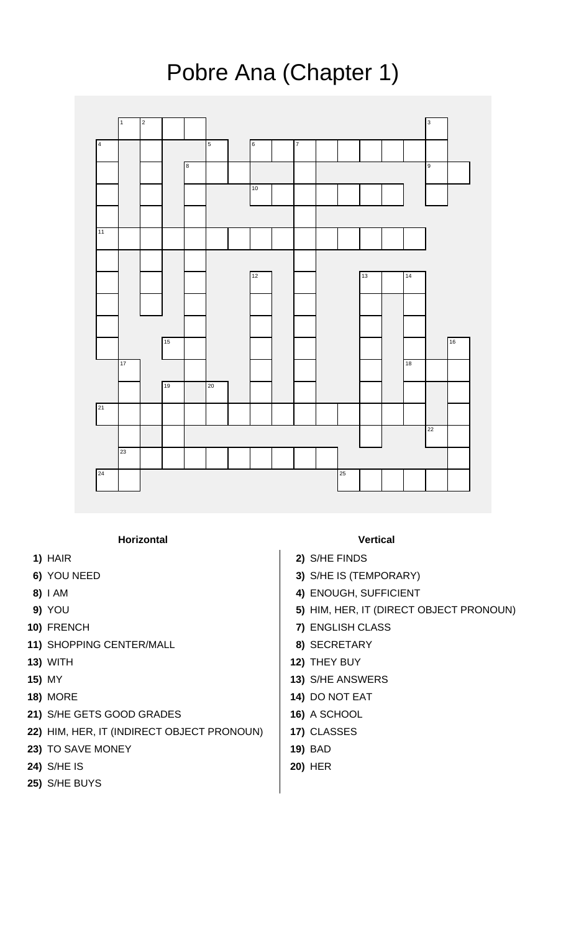## Pobre Ana (Chapter 1)



## **Horizontal Vertical**

- 
- 
- 
- 
- 
- **11)** SHOPPING CENTER/MALL **8)** SECRETARY
- 
- 
- 
- **21)** S/HE GETS GOOD GRADES **16)** A SCHOOL
- **22)** HIM, HER, IT (INDIRECT OBJECT PRONOUN) **17)** CLASSES
- **23)** TO SAVE MONEY **19)** BAD
- **24)** S/HE IS **20)** HER
- **25)** S/HE BUYS

- **1)** HAIR **2)** S/HE FINDS
- **6)** YOU NEED **3)** S/HE IS (TEMPORARY)
- **8)** I AM **4)** ENOUGH, SUFFICIENT
- **9)** YOU **5)** HIM, HER, IT (DIRECT OBJECT PRONOUN)
- **10)** FRENCH **7)** ENGLISH CLASS
	-
- **13)** WITH **12)** THEY BUY
- **15)** MY **13)** S/HE ANSWERS
- **18)** MORE **14)** DO NOT EAT
	-
	-
	-
	-